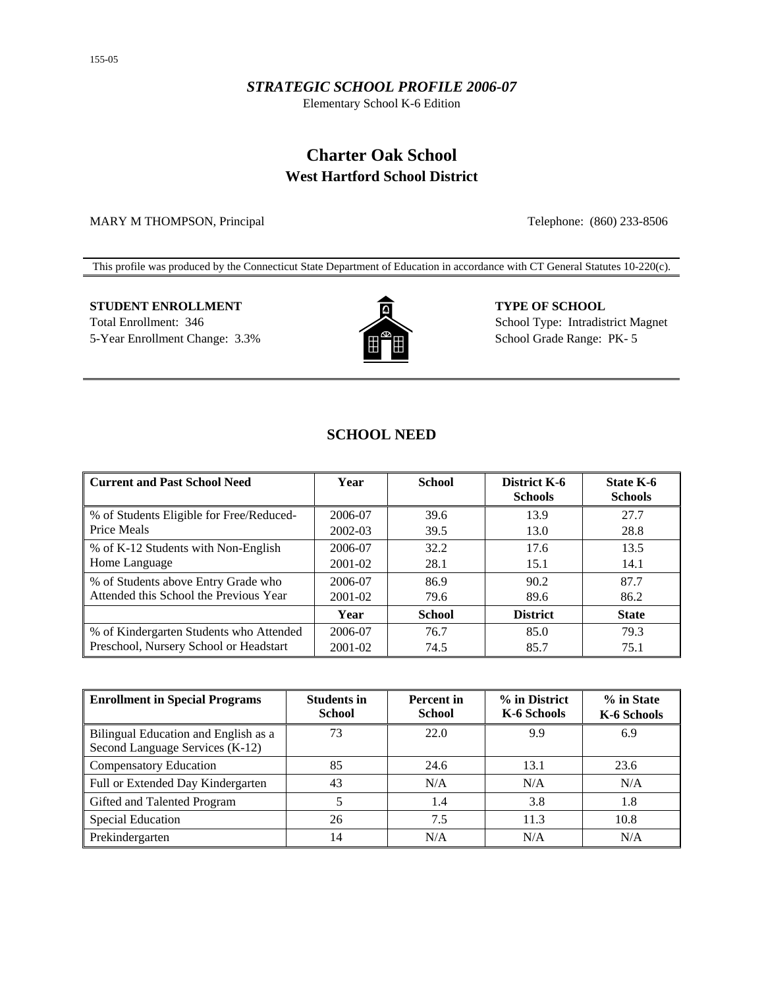#### *STRATEGIC SCHOOL PROFILE 2006-07*

Elementary School K-6 Edition

## **Charter Oak School West Hartford School District**

MARY M THOMPSON, Principal Telephone: (860) 233-8506

This profile was produced by the Connecticut State Department of Education in accordance with CT General Statutes 10-220(c).

# **STUDENT ENROLLMENT TYPE OF SCHOOL**



Total Enrollment: 346 School Type: Intradistrict Magnet 5-Year Enrollment Change: 3.3% School Grade Range: PK- 5

## **SCHOOL NEED**

| <b>Current and Past School Need</b>      | Year        | <b>School</b> | <b>District K-6</b><br><b>Schools</b> | State K-6<br><b>Schools</b> |
|------------------------------------------|-------------|---------------|---------------------------------------|-----------------------------|
| % of Students Eligible for Free/Reduced- | 2006-07     | 39.6          | 13.9                                  | 27.7                        |
| Price Meals                              | 2002-03     | 39.5          | 13.0                                  | 28.8                        |
| % of K-12 Students with Non-English      | 2006-07     | 32.2          | 17.6                                  | 13.5                        |
| Home Language                            | 2001-02     | 28.1          | 15.1                                  | 14.1                        |
| % of Students above Entry Grade who      | 2006-07     | 86.9          | 90.2                                  | 87.7                        |
| Attended this School the Previous Year   | 2001-02     | 79.6          | 89.6                                  | 86.2                        |
|                                          | Year        | <b>School</b> | <b>District</b>                       | <b>State</b>                |
| % of Kindergarten Students who Attended  | 2006-07     | 76.7          | 85.0                                  | 79.3                        |
| Preschool, Nursery School or Headstart   | $2001 - 02$ | 74.5          | 85.7                                  | 75.1                        |

| <b>Enrollment in Special Programs</b>                                   | <b>Students in</b><br><b>School</b> | <b>Percent</b> in<br><b>School</b> | % in District<br>K-6 Schools | % in State<br>K-6 Schools |
|-------------------------------------------------------------------------|-------------------------------------|------------------------------------|------------------------------|---------------------------|
| Bilingual Education and English as a<br>Second Language Services (K-12) | 73                                  | 22.0                               | 9.9                          | 6.9                       |
| <b>Compensatory Education</b>                                           | 85                                  | 24.6                               | 13.1                         | 23.6                      |
| Full or Extended Day Kindergarten                                       | 43                                  | N/A                                | N/A                          | N/A                       |
| Gifted and Talented Program                                             |                                     | 1.4                                | 3.8                          | 1.8                       |
| Special Education                                                       | 26                                  | 7.5                                | 11.3                         | 10.8                      |
| Prekindergarten                                                         | 14                                  | N/A                                | N/A                          | N/A                       |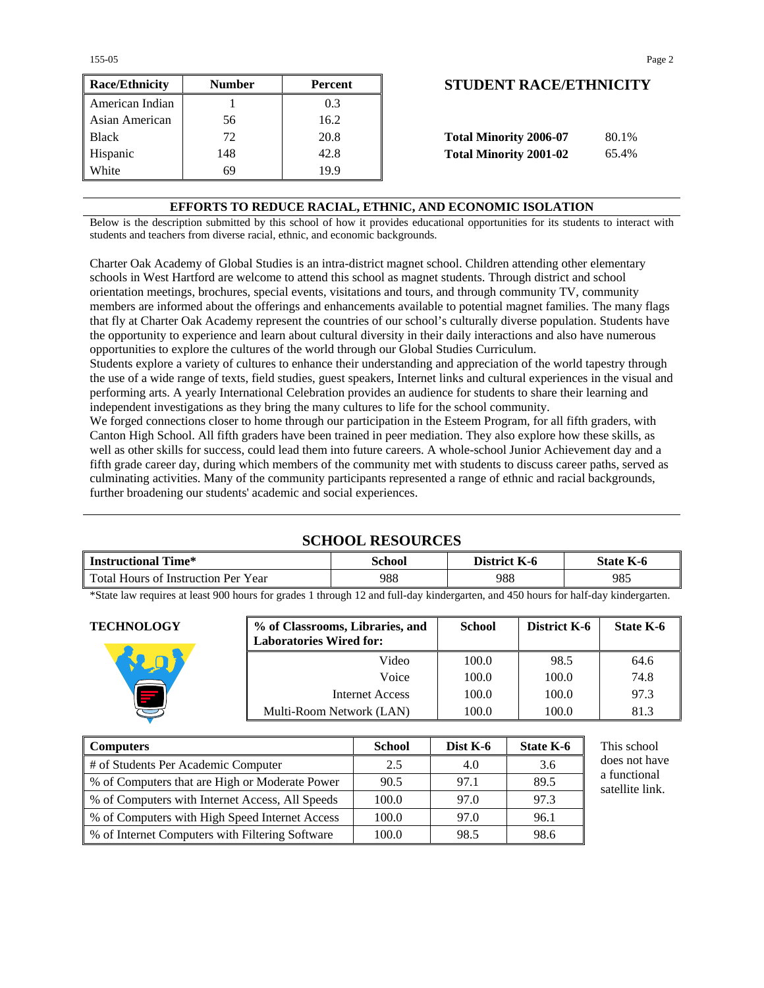155-05 Page 2

| <b>Race/Ethnicity</b> | <b>Number</b> | Percent | <b>STUDENT RACE/ETHNICIT</b>           |
|-----------------------|---------------|---------|----------------------------------------|
| American Indian       |               | 0.3     |                                        |
| Asian American        | 56            | 16.2    |                                        |
| <b>Black</b>          | 72            | 20.8    | <b>Total Minority 2006-07</b><br>80.1% |
| Hispanic              | 148           | 42.8    | <b>Total Minority 2001-02</b><br>65.4% |
| White                 | 69            | 19.9    |                                        |

## **Race/Ethnicity Number Percent STUDENT RACE/ETHNICITY**

| <b>Total Minority 2006-07</b> | 80.1% |
|-------------------------------|-------|
| <b>Total Minority 2001-02</b> | 65.4% |

#### **EFFORTS TO REDUCE RACIAL, ETHNIC, AND ECONOMIC ISOLATION**

Below is the description submitted by this school of how it provides educational opportunities for its students to interact with students and teachers from diverse racial, ethnic, and economic backgrounds.

Charter Oak Academy of Global Studies is an intra-district magnet school. Children attending other elementary schools in West Hartford are welcome to attend this school as magnet students. Through district and school orientation meetings, brochures, special events, visitations and tours, and through community TV, community members are informed about the offerings and enhancements available to potential magnet families. The many flags that fly at Charter Oak Academy represent the countries of our school's culturally diverse population. Students have the opportunity to experience and learn about cultural diversity in their daily interactions and also have numerous opportunities to explore the cultures of the world through our Global Studies Curriculum.

Students explore a variety of cultures to enhance their understanding and appreciation of the world tapestry through the use of a wide range of texts, field studies, guest speakers, Internet links and cultural experiences in the visual and performing arts. A yearly International Celebration provides an audience for students to share their learning and independent investigations as they bring the many cultures to life for the school community.

We forged connections closer to home through our participation in the Esteem Program, for all fifth graders, with Canton High School. All fifth graders have been trained in peer mediation. They also explore how these skills, as well as other skills for success, could lead them into future careers. A whole-school Junior Achievement day and a fifth grade career day, during which members of the community met with students to discuss career paths, served as culminating activities. Many of the community participants represented a range of ethnic and racial backgrounds, further broadening our students' academic and social experiences.

#### **SCHOOL RESOURCES**

| 988<br>988<br>Total Hours of Instruction Per Year | 985 |  |
|---------------------------------------------------|-----|--|

\*State law requires at least 900 hours for grades 1 through 12 and full-day kindergarten, and 450 hours for half-day kindergarten.

| <b>TECHNOLOGY</b> | % of Classrooms, Libraries, and<br><b>Laboratories Wired for:</b> | <b>School</b> | District K-6 | State K-6 |
|-------------------|-------------------------------------------------------------------|---------------|--------------|-----------|
|                   | Video                                                             | 100.0         | 98.5         | 64.6      |
|                   | Voice                                                             | 100.0         | 100.0        | 74.8      |
|                   | Internet Access                                                   | 100.0         | 100.0        | 97.3      |
|                   | Multi-Room Network (LAN)                                          | 100.0         | 100.0        | 81.3      |

| <b>Computers</b>                                | <b>School</b> | Dist K-6 | State K-6 | This school                     |
|-------------------------------------------------|---------------|----------|-----------|---------------------------------|
| # of Students Per Academic Computer             | 2.5           | 4.0      | 3.6       | does not have                   |
| % of Computers that are High or Moderate Power  | 90.5          | 97.1     | 89.5      | a functional<br>satellite link. |
| % of Computers with Internet Access, All Speeds | 100.0         | 97.0     | 97.3      |                                 |
| % of Computers with High Speed Internet Access  | 100.0         | 97.0     | 96.1      |                                 |
| % of Internet Computers with Filtering Software | 100.0         | 98.5     | 98.6      |                                 |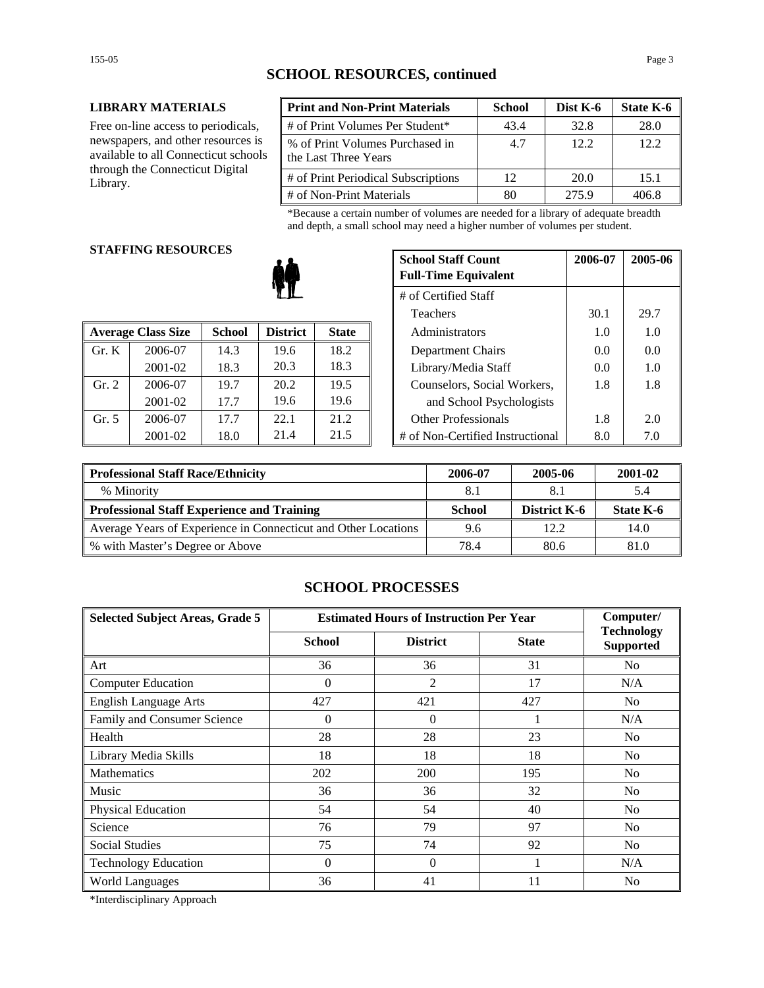#### **LIBRARY MATERIALS**

Free on-line access to periodicals, newspapers, and other resources is available to all Connecticut schools through the Connecticut Digital Library.

| <b>Print and Non-Print Materials</b>                    | <b>School</b> | Dist K-6 | State K-6 |
|---------------------------------------------------------|---------------|----------|-----------|
| # of Print Volumes Per Student*                         | 43.4          | 32.8     | 28.0      |
| % of Print Volumes Purchased in<br>the Last Three Years | 4.7           | 12.2.    | 12.2      |
| # of Print Periodical Subscriptions                     | 12            | 20.0     | 15.1      |
| # of Non-Print Materials                                | 80            | 275.9    | 406.8     |

\*Because a certain number of volumes are needed for a library of adequate breadth and depth, a small school may need a higher number of volumes per student.

#### **STAFFING RESOURCES**

|       |                           |               |                 |              | 1 <u>cach</u> olo                | - - - - - | ---- |
|-------|---------------------------|---------------|-----------------|--------------|----------------------------------|-----------|------|
|       | <b>Average Class Size</b> | <b>School</b> | <b>District</b> | <b>State</b> | Administrators                   |           | 1.0  |
| Gr. K | 2006-07                   | 14.3          | 19.6            | 18.2         | Department Chairs                | 0.0       | 0.0  |
|       | 2001-02                   | 18.3          | 20.3            | 18.3         | Library/Media Staff              | 0.0       | 1.0  |
| Gr. 2 | 2006-07                   | 19.7          | 20.2            | 19.5         | Counselors, Social Workers,      | 1.8       | 1.8  |
|       | 2001-02                   | 17.7          | 19.6            | 19.6         | and School Psychologists         |           |      |
| Gr. 5 | 2006-07                   | 17.7          | 22.1            | 21.2         | <b>Other Professionals</b>       | 1.8       | 2.0  |
|       | 2001-02                   | 18.0          | 21.4            | 21.5         | # of Non-Certified Instructional | 8.0       | 7.0  |

| u neguvnjeg |               | <b>School Staff Count</b><br><b>Full-Time Equivalent</b> | 2006-07      | 2005-06 |                                  |      |      |
|-------------|---------------|----------------------------------------------------------|--------------|---------|----------------------------------|------|------|
|             |               | # of Certified Staff                                     |              |         |                                  |      |      |
|             |               |                                                          |              |         | Teachers                         | 30.1 | 29.7 |
| 'lass Size  | <b>School</b> | <b>District</b>                                          | <b>State</b> |         | Administrators                   | 1.0  | 1.0  |
| 2006-07     | 14.3          | 19.6                                                     | 18.2         |         | Department Chairs                | 0.0  | 0.0  |
| 2001-02     | 18.3          | 20.3                                                     | 18.3         |         | Library/Media Staff              | 0.0  | 1.0  |
| 2006-07     | 19.7          | 20.2                                                     | 19.5         |         | Counselors, Social Workers,      | 1.8  | 1.8  |
| 2001-02     | 17.7          | 19.6                                                     | 19.6         |         | and School Psychologists         |      |      |
| 2006-07     | 17.7          | 22.1                                                     | 21.2         |         | <b>Other Professionals</b>       | 1.8  | 2.0  |
| 2001-02     | 18.0          | 21.4                                                     | 21.5         |         | # of Non-Certified Instructional | 8.0  | 7.0  |

| <b>Professional Staff Race/Ethnicity</b>                       | 2006-07       | 2005-06      | 2001-02   |
|----------------------------------------------------------------|---------------|--------------|-----------|
| % Minority                                                     | 8.1           |              | 5.4       |
| Professional Staff Experience and Training                     | <b>School</b> | District K-6 | State K-6 |
| Average Years of Experience in Connecticut and Other Locations | 9.6           | 12.2         | 14.0      |
| ↓ % with Master's Degree or Above                              | 78.4          | 80.6         | 81.0      |

#### **SCHOOL PROCESSES**

| <b>Selected Subject Areas, Grade 5</b> | <b>Estimated Hours of Instruction Per Year</b> |                 |              | Computer/                             |
|----------------------------------------|------------------------------------------------|-----------------|--------------|---------------------------------------|
|                                        | <b>School</b>                                  | <b>District</b> | <b>State</b> | <b>Technology</b><br><b>Supported</b> |
| Art                                    | 36                                             | 36              | 31           | No                                    |
| <b>Computer Education</b>              | $\Omega$                                       | 2               | 17           | N/A                                   |
| <b>English Language Arts</b>           | 427                                            | 421             | 427          | N <sub>0</sub>                        |
| Family and Consumer Science            | $\Omega$                                       | $\theta$        |              | N/A                                   |
| Health                                 | 28                                             | 28              | 23           | No                                    |
| Library Media Skills                   | 18                                             | 18              | 18           | N <sub>0</sub>                        |
| <b>Mathematics</b>                     | 202                                            | 200             | 195          | N <sub>0</sub>                        |
| Music                                  | 36                                             | 36              | 32           | N <sub>0</sub>                        |
| Physical Education                     | 54                                             | 54              | 40           | No                                    |
| Science                                | 76                                             | 79              | 97           | N <sub>0</sub>                        |
| <b>Social Studies</b>                  | 75                                             | 74              | 92           | N <sub>0</sub>                        |
| <b>Technology Education</b>            | $\Omega$                                       | $\theta$        |              | N/A                                   |
| <b>World Languages</b>                 | 36                                             | 41              | 11           | N <sub>0</sub>                        |

\*Interdisciplinary Approach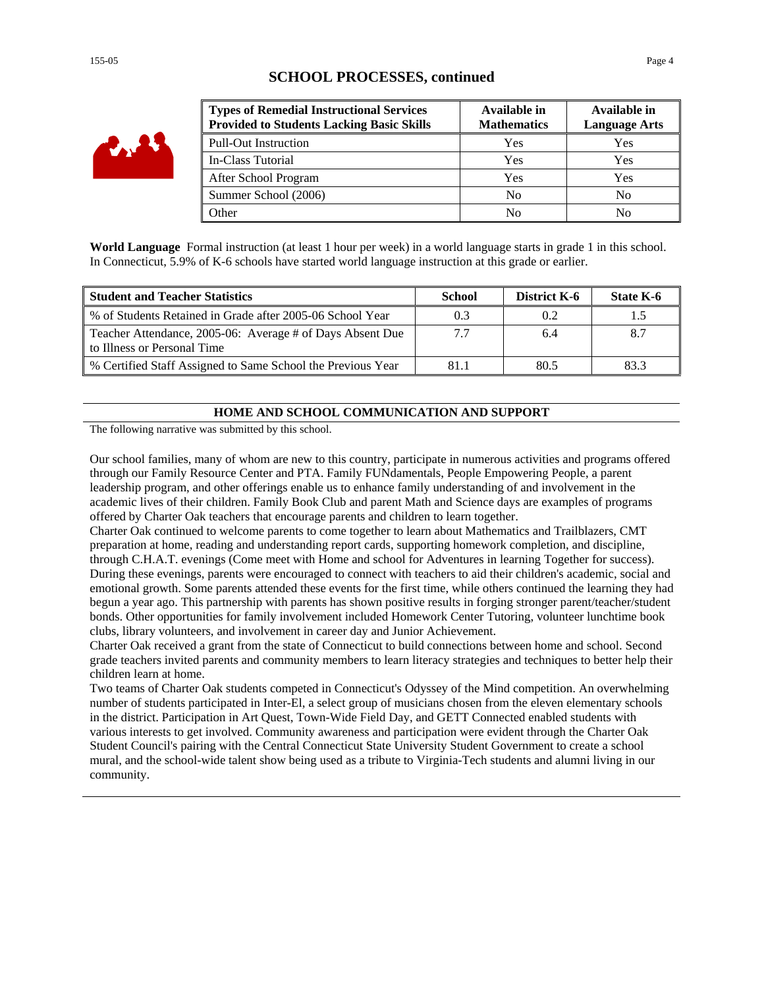#### **SCHOOL PROCESSES, continued**

| <b>Types of Remedial Instructional Services</b><br><b>Provided to Students Lacking Basic Skills</b> | Available in<br><b>Mathematics</b> | Available in<br><b>Language Arts</b> |
|-----------------------------------------------------------------------------------------------------|------------------------------------|--------------------------------------|
| <b>Pull-Out Instruction</b>                                                                         | Yes                                | Yes                                  |
| In-Class Tutorial                                                                                   | Yes                                | Yes                                  |
| After School Program                                                                                | Yes                                | Yes                                  |
| Summer School (2006)                                                                                | N <sub>0</sub>                     | No                                   |
| <b>Other</b>                                                                                        | No                                 | No                                   |

**World Language** Formal instruction (at least 1 hour per week) in a world language starts in grade 1 in this school. In Connecticut, 5.9% of K-6 schools have started world language instruction at this grade or earlier.

| <b>Student and Teacher Statistics</b>                                                    | School | <b>District K-6</b> | State K-6 |
|------------------------------------------------------------------------------------------|--------|---------------------|-----------|
| % of Students Retained in Grade after 2005-06 School Year                                |        | 0.2                 |           |
| Teacher Attendance, 2005-06: Average # of Days Absent Due<br>to Illness or Personal Time | 7.7    | 6.4                 |           |
| % Certified Staff Assigned to Same School the Previous Year                              | 81.1   | 80.5                | 83.3      |

#### **HOME AND SCHOOL COMMUNICATION AND SUPPORT**

The following narrative was submitted by this school.

Our school families, many of whom are new to this country, participate in numerous activities and programs offered through our Family Resource Center and PTA. Family FUNdamentals, People Empowering People, a parent leadership program, and other offerings enable us to enhance family understanding of and involvement in the academic lives of their children. Family Book Club and parent Math and Science days are examples of programs offered by Charter Oak teachers that encourage parents and children to learn together.

Charter Oak continued to welcome parents to come together to learn about Mathematics and Trailblazers, CMT preparation at home, reading and understanding report cards, supporting homework completion, and discipline, through C.H.A.T. evenings (Come meet with Home and school for Adventures in learning Together for success). During these evenings, parents were encouraged to connect with teachers to aid their children's academic, social and emotional growth. Some parents attended these events for the first time, while others continued the learning they had begun a year ago. This partnership with parents has shown positive results in forging stronger parent/teacher/student bonds. Other opportunities for family involvement included Homework Center Tutoring, volunteer lunchtime book clubs, library volunteers, and involvement in career day and Junior Achievement.

Charter Oak received a grant from the state of Connecticut to build connections between home and school. Second grade teachers invited parents and community members to learn literacy strategies and techniques to better help their children learn at home.

Two teams of Charter Oak students competed in Connecticut's Odyssey of the Mind competition. An overwhelming number of students participated in Inter-El, a select group of musicians chosen from the eleven elementary schools in the district. Participation in Art Quest, Town-Wide Field Day, and GETT Connected enabled students with various interests to get involved. Community awareness and participation were evident through the Charter Oak Student Council's pairing with the Central Connecticut State University Student Government to create a school mural, and the school-wide talent show being used as a tribute to Virginia-Tech students and alumni living in our community.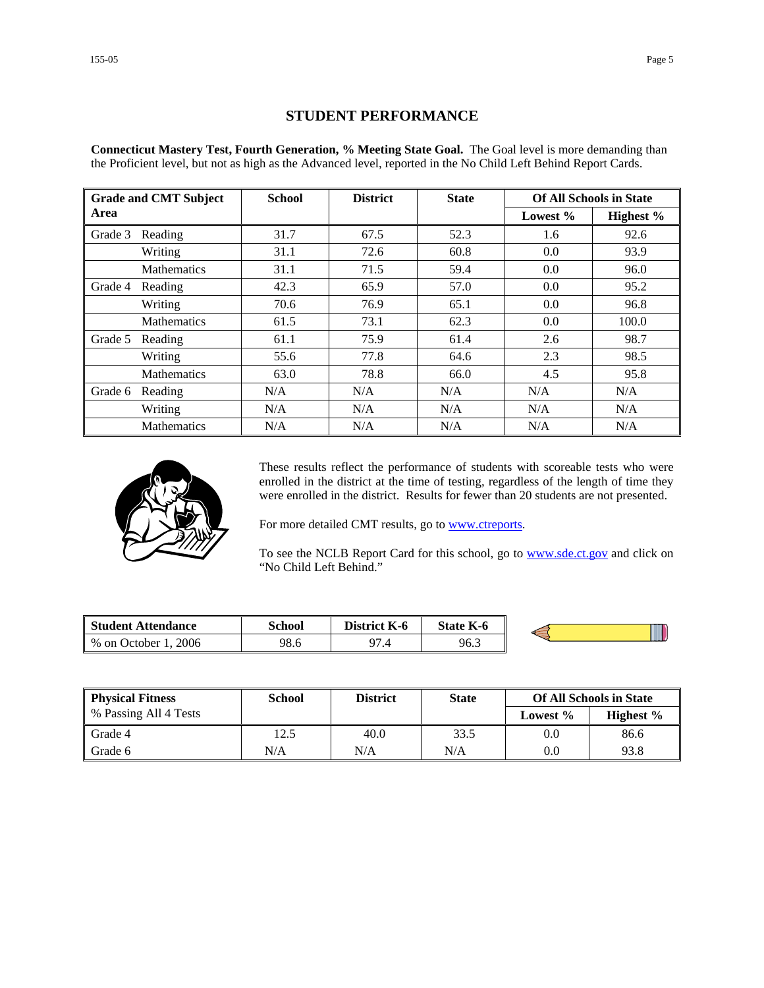#### **STUDENT PERFORMANCE**

**Connecticut Mastery Test, Fourth Generation, % Meeting State Goal.** The Goal level is more demanding than the Proficient level, but not as high as the Advanced level, reported in the No Child Left Behind Report Cards.

|         | <b>Grade and CMT Subject</b> | <b>School</b> | <b>District</b> | <b>State</b> |          | <b>Of All Schools in State</b> |
|---------|------------------------------|---------------|-----------------|--------------|----------|--------------------------------|
| Area    |                              |               |                 |              | Lowest % | Highest %                      |
| Grade 3 | Reading                      | 31.7          | 67.5            | 52.3         | 1.6      | 92.6                           |
|         | Writing                      | 31.1          | 72.6            | 60.8         | 0.0      | 93.9                           |
|         | <b>Mathematics</b>           | 31.1          | 71.5            | 59.4         | 0.0      | 96.0                           |
| Grade 4 | Reading                      | 42.3          | 65.9            | 57.0         | 0.0      | 95.2                           |
|         | Writing                      | 70.6          | 76.9            | 65.1         | 0.0      | 96.8                           |
|         | <b>Mathematics</b>           | 61.5          | 73.1            | 62.3         | 0.0      | 100.0                          |
| Grade 5 | Reading                      | 61.1          | 75.9            | 61.4         | 2.6      | 98.7                           |
|         | Writing                      | 55.6          | 77.8            | 64.6         | 2.3      | 98.5                           |
|         | <b>Mathematics</b>           | 63.0          | 78.8            | 66.0         | 4.5      | 95.8                           |
| Grade 6 | Reading                      | N/A           | N/A             | N/A          | N/A      | N/A                            |
|         | Writing                      | N/A           | N/A             | N/A          | N/A      | N/A                            |
|         | <b>Mathematics</b>           | N/A           | N/A             | N/A          | N/A      | N/A                            |



These results reflect the performance of students with scoreable tests who were enrolled in the district at the time of testing, regardless of the length of time they were enrolled in the district. Results for fewer than 20 students are not presented.

For more detailed CMT results, go to **www.ctreports**.

To see the NCLB Report Card for this school, go to **[www.sde.ct.gov](http://www.sde.ct.gov/)** and click on "No Child Left Behind."

| Student Attendance     | School | K-6<br>District. | <b>State K-6</b> |  |
|------------------------|--------|------------------|------------------|--|
| 2006<br>% on October 1 | 98.6   | 07<br>, 4        | 96.3             |  |

| <b>Physical Fitness</b> | <b>School</b> | <b>District</b> | <b>State</b> |          | <b>Of All Schools in State</b> |
|-------------------------|---------------|-----------------|--------------|----------|--------------------------------|
| % Passing All 4 Tests   |               |                 |              | Lowest % | Highest $\%$                   |
| Grade 4                 | 12.5          | 40.0            | 33.5         | 0.0      | 86.6                           |
| Grade 6                 | N/A           | N/A             | N/A          | 0.0      | 93.8                           |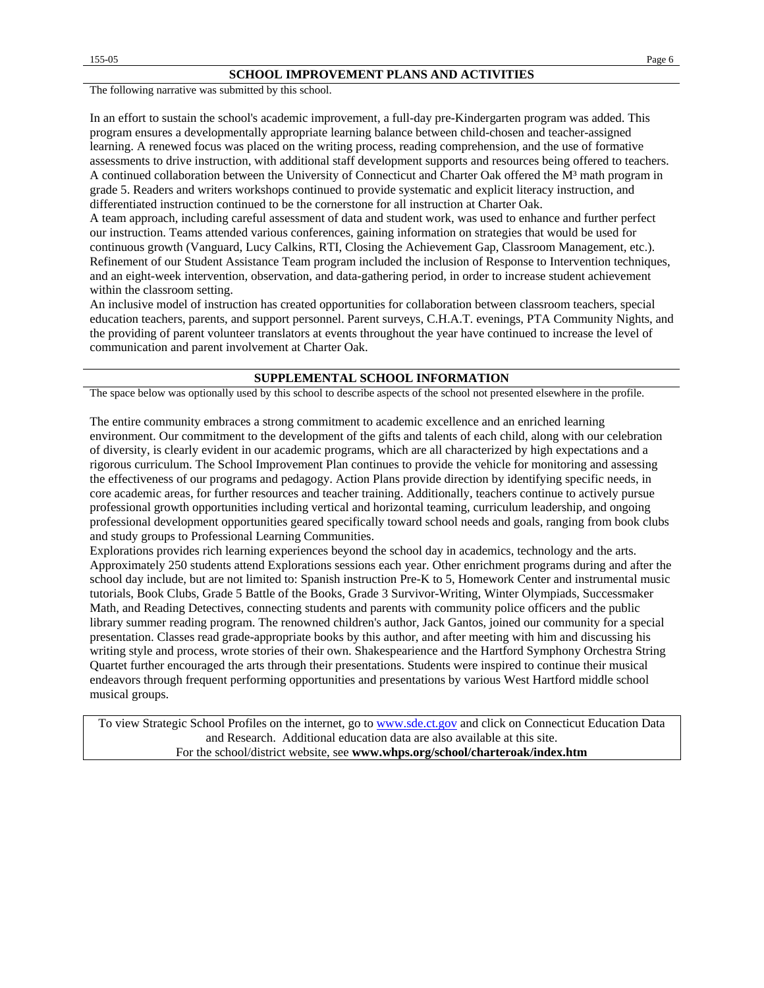The following narrative was submitted by this school.

In an effort to sustain the school's academic improvement, a full-day pre-Kindergarten program was added. This program ensures a developmentally appropriate learning balance between child-chosen and teacher-assigned learning. A renewed focus was placed on the writing process, reading comprehension, and the use of formative assessments to drive instruction, with additional staff development supports and resources being offered to teachers. A continued collaboration between the University of Connecticut and Charter Oak offered the M<sup>3</sup> math program in grade 5. Readers and writers workshops continued to provide systematic and explicit literacy instruction, and differentiated instruction continued to be the cornerstone for all instruction at Charter Oak.

A team approach, including careful assessment of data and student work, was used to enhance and further perfect our instruction. Teams attended various conferences, gaining information on strategies that would be used for continuous growth (Vanguard, Lucy Calkins, RTI, Closing the Achievement Gap, Classroom Management, etc.). Refinement of our Student Assistance Team program included the inclusion of Response to Intervention techniques, and an eight-week intervention, observation, and data-gathering period, in order to increase student achievement within the classroom setting.

An inclusive model of instruction has created opportunities for collaboration between classroom teachers, special education teachers, parents, and support personnel. Parent surveys, C.H.A.T. evenings, PTA Community Nights, and the providing of parent volunteer translators at events throughout the year have continued to increase the level of communication and parent involvement at Charter Oak.

#### **SUPPLEMENTAL SCHOOL INFORMATION**

The space below was optionally used by this school to describe aspects of the school not presented elsewhere in the profile.

The entire community embraces a strong commitment to academic excellence and an enriched learning environment. Our commitment to the development of the gifts and talents of each child, along with our celebration of diversity, is clearly evident in our academic programs, which are all characterized by high expectations and a rigorous curriculum. The School Improvement Plan continues to provide the vehicle for monitoring and assessing the effectiveness of our programs and pedagogy. Action Plans provide direction by identifying specific needs, in core academic areas, for further resources and teacher training. Additionally, teachers continue to actively pursue professional growth opportunities including vertical and horizontal teaming, curriculum leadership, and ongoing professional development opportunities geared specifically toward school needs and goals, ranging from book clubs and study groups to Professional Learning Communities.

Explorations provides rich learning experiences beyond the school day in academics, technology and the arts. Approximately 250 students attend Explorations sessions each year. Other enrichment programs during and after the school day include, but are not limited to: Spanish instruction Pre-K to 5, Homework Center and instrumental music tutorials, Book Clubs, Grade 5 Battle of the Books, Grade 3 Survivor-Writing, Winter Olympiads, Successmaker Math, and Reading Detectives, connecting students and parents with community police officers and the public library summer reading program. The renowned children's author, Jack Gantos, joined our community for a special presentation. Classes read grade-appropriate books by this author, and after meeting with him and discussing his writing style and process, wrote stories of their own. Shakespearience and the Hartford Symphony Orchestra String Quartet further encouraged the arts through their presentations. Students were inspired to continue their musical endeavors through frequent performing opportunities and presentations by various West Hartford middle school musical groups.

To view Strategic School Profiles on the internet, go to [www.sde.ct.gov](http://www.sde.ct.gov/) and click on Connecticut Education Data and Research. Additional education data are also available at this site. For the school/district website, see **www.whps.org/school/charteroak/index.htm**